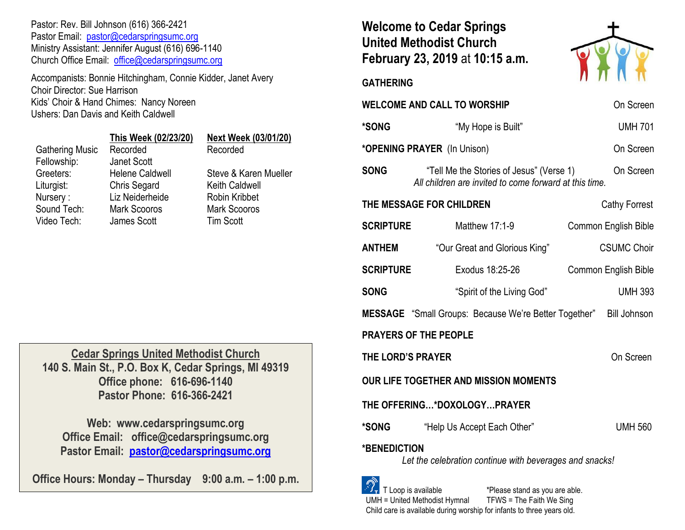Pastor: Rev. Bill Johnson (616) 366-2421 Pastor Email: [pastor@cedarspringsumc.org](mailto:pastor@cedarspringsumc.org) Ministry Assistant: Jennifer August (616) 696-1140 Church Office Email: [office@cedarspringsumc.org](mailto:office@cedarspringsumc.org)

Accompanists: Bonnie Hitchingham, Connie Kidder, Janet Avery Choir Director: Sue Harrison Kids' Choir & Hand Chimes: Nancy Noreen Ushers: Dan Davis and Keith Caldwell

|                        | This Week (02/23/20)   | <b>Next Week (03/01/20)</b> |
|------------------------|------------------------|-----------------------------|
| <b>Gathering Music</b> | Recorded               | Recorded                    |
| Fellowship:            | Janet Scott            |                             |
| Greeters:              | <b>Helene Caldwell</b> | Steve & Karen Mueller       |
| Liturgist:             | <b>Chris Segard</b>    | <b>Keith Caldwell</b>       |
| Nursery:               | Liz Neiderheide        | <b>Robin Kribbet</b>        |
| Sound Tech:            | <b>Mark Scooros</b>    | <b>Mark Scooros</b>         |
| Video Tech:            | James Scott            | <b>Tim Scott</b>            |
|                        |                        |                             |

**Cedar Springs United Methodist Church 140 S. Main St., P.O. Box K, Cedar Springs, MI 49319 Office phone: 616-696-1140 Pastor Phone: 616-366-2421**

**Web: www.cedarspringsumc.org Office Email: office@cedarspringsumc.org Pastor Email: [pastor@cedarspringsumc.org](mailto:pastor@cedarspringsumc.org)**

**Office Hours: Monday – Thursday 9:00 a.m. – 1:00 p.m.**

# **Welcome to Cedar Springs United Methodist Church February 23, 2019** at **10:15 a.m.**



**GATHERING** 

| <b>WELCOME AND CALL TO WORSHIP</b>                                             | On Screen                                                                                          |                             |  |  |
|--------------------------------------------------------------------------------|----------------------------------------------------------------------------------------------------|-----------------------------|--|--|
| *SONG                                                                          | "My Hope is Built"                                                                                 | <b>UMH 701</b>              |  |  |
| *OPENING PRAYER (In Unison)                                                    |                                                                                                    | On Screen                   |  |  |
| <b>SONG</b>                                                                    | "Tell Me the Stories of Jesus" (Verse 1)<br>All children are invited to come forward at this time. | On Screen                   |  |  |
| THE MESSAGE FOR CHILDREN<br><b>Cathy Forrest</b>                               |                                                                                                    |                             |  |  |
| <b>SCRIPTURE</b>                                                               | Matthew 17:1-9                                                                                     | <b>Common English Bible</b> |  |  |
| <b>ANTHEM</b>                                                                  | "Our Great and Glorious King"                                                                      | <b>CSUMC Choir</b>          |  |  |
| <b>SCRIPTURE</b>                                                               | Exodus 18:25-26                                                                                    | <b>Common English Bible</b> |  |  |
| <b>SONG</b>                                                                    | "Spirit of the Living God"                                                                         | <b>UMH 393</b>              |  |  |
|                                                                                | <b>MESSAGE</b> "Small Groups: Because We're Better Together" Bill Johnson                          |                             |  |  |
| <b>PRAYERS OF THE PEOPLE</b>                                                   |                                                                                                    |                             |  |  |
| THE LORD'S PRAYER                                                              | On Screen                                                                                          |                             |  |  |
| OUR LIFE TOGETHER AND MISSION MOMENTS                                          |                                                                                                    |                             |  |  |
| THE OFFERING*DOXOLOGYPRAYER                                                    |                                                                                                    |                             |  |  |
| *SONG                                                                          | "Help Us Accept Each Other"                                                                        | <b>UMH 560</b>              |  |  |
| <b>*BENEDICTION</b><br>Let the celebration continue with beverages and snacks! |                                                                                                    |                             |  |  |
| $\sim$                                                                         |                                                                                                    |                             |  |  |

 $\mathcal{F}_{\mathbf{r}}$  T Loop is available  $\mathcal{F}_{\mathbf{r}}$  are able. UMH = United Methodist Hymnal TFWS = The Faith We Sing Child care is available during worship for infants to three years old.